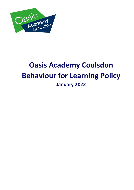

# **Oasis Academy Coulsdon Behaviour for Learning Policy January 2022**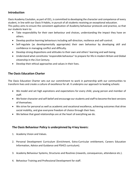# **Introduction**

Oasis Academy Coulsdon, as part of OCL, is committed to developing the character and competence of every student, in line with our Oasis 9 Habits, in pursuit of all students receiving an exceptional education. This policy aims to ensure the consistent application of Academy behaviour protocols and practice, so that our students learn to:

- Take responsibility for their own behaviour and choices, understanding the impact they have on others.
- Develop positive learning behaviours including self-direction, resilience and self-control.
- Self-regulate (as developmentally appropriate) their own behaviour by developing skill and confidence in managing conflict and difficulty.
- Develop strong dispositions and attitudes to their own and others' learning and well-being.
- Understand what constitutes 'responsible behaviour' to prepare for life in modern Britain and Global citizenship in the 21st Century.
- Develop their ethical approaches and values in their lives.

# **The Oasis Education Charter**

The Oasis Education Charter sets out our commitment to work in partnership with our communities to transform lives and create a culture of excellence for all. It underpins our approach to leading schools:

- We model and set high aspirations and expectations for every child, young person and member of staff.
- We foster character and self-belief and encourage our students and staff to become the best versions of themselves.
- We strive for personal as well as academic and vocational excellence, achieving outcomes that drive social mobility, and give everyone freedom of choice through their lives.
- We believe that good relationships are at the heart of everything we do.

# **The Oasis Behaviour Policy is underpinned by 4 key levers:**

- 1. Academy Vision and Values.
- 2. Personal Development Curriculum (Enrichment, Extra-Curricular entitlement, Careers Education Information, Advice and Guidance and PSHCE curriculum).
- 3. Academy Behaviour Systems, Structures and Routines (rewards, consequences, attendance etc.).
- 4. Behaviour Training and Professional Development for staff.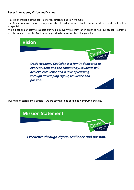# **Lever 1: Academy Vision and Values**

This vision must be at the centre of every strategic decision we make.

The Academy vision is more than just words – it is what we are about, why we work here and what makes us special.

We expect all our staff to support our vision in every way they can in order to help our students achieve excellence and leave the Academy equipped to be successful and happy in life.



Our mission statement is simple – we are striving to be excellent in everything we do.



**Excellence through rigour, resilience and passion.** 

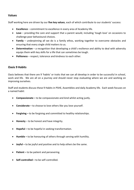## **Values**

Staff working here are driven by our **five key values**, each of which contribute to our students' success:

- **Excellence** commitment to excellence in every area of Academy life.
- **Love** providing the care and support that a parent would, including 'tough love' on occasions to challenge poor behavioural choices.
- **Family** underpinning all we do is a family ethos, working together to overcome obstacles and ensuring that every single child matters to us.
- **Determination**  a recognition that developing a child's resilience and ability to deal with adversity equips them with key skills for a life that can sometimes be tough.
- **Politeness** respect, tolerance and kindness to each other.

## **Oasis 9 Habits**

Oasis believes that there are 9 'habits' or traits that we can all develop in order to be successful in school, work and life. We are all on a journey and should never stop evaluating where we are and working on improving ourselves.

Staff and students discuss these 9 Habits in PSHE, Assemblies and daily Academy life. Each week focuses on a named habit:

- **Compassionate –** to be compassionate and kind whilst acting justly.
- **Considerate –** to choose to love others like you love yourself.
- **Forgiving –** to be forgiving and committed to healthy relationships.
- **Honesty**  to be honest and have integrity.
- **Hopeful –** to be hopeful in seeking transformation.
- **Humble –** to be honouring of others through serving with humility.
- **Joyful** to be joyful and positive and to help others be the same.
- **Patient –** to be patient and persevering.
- **Self-controlled –** to be self-controlled.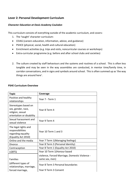# **Lever 2: Personal Development Curriculum**

#### *Character Education at Oasis Academy Coulsdon*

This curriculum consists of everything outside of the academic curriculum, and covers:

- 1. The 'taught' character curriculum:
- CEIAG (careers education, information, advice, and guidance)
- PSHCE (physical, social, health and cultural education)
- Enrichment activities (e.g. trips and visits, noncurricular courses or workshops)
- Extra-curricular programme (e.g. before and after school clubs and societies)
- 2. The culture created by staff behaviours and the systems and routines of a school. This is often less tangible and may be seen in the way assemblies are conducted, in mentor time/family time, in corridor conversations, and in signs and symbols around school. This is often summed up as 'the way things are around here'.

#### **PSHE Curriculum Overview**

| <b>Topic</b>                                                                                | Coverage                                                         |
|---------------------------------------------------------------------------------------------|------------------------------------------------------------------|
| Positive and healthy<br>relationships                                                       | Year 7 - Term 1                                                  |
| Stereotypes based on<br>sex, gender, race,<br>religion, sexual<br>orientation or disability | Year 8 Term 4                                                    |
| Sexual harassment and<br>sexual violence                                                    | Year 9 Term 4                                                    |
| The legal rights and<br>responsibilities<br>regarding equality<br>(Equality Act 2010)       | Year 10 Term 1 and 3                                             |
| Online and the media                                                                        | Year 7 Term 1 (Managing feelings)                                |
| <b>Divorce</b>                                                                              | Year 8 Term 3 (Personal Identity)                                |
| Contraception                                                                               | Year 8 Term 1 (Equality Act 2010)                                |
| <b>LGBTQ</b>                                                                                | Year 10 Term 1(Honour based                                      |
| <b>Families</b>                                                                             | violence, Forced Marriage, Domestic Violence -<br>same sex, men) |
| (different types of<br>relationships, marriage,                                             | Year 8 Term 3 Personal boundaries                                |
| forced marriage,                                                                            | Year 9 Term 3 Consent                                            |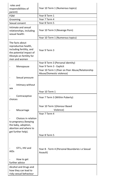| roles and<br>responsibilities of                                                                                                              | Year 10 Term 1 (Numerous topics)                                            |  |
|-----------------------------------------------------------------------------------------------------------------------------------------------|-----------------------------------------------------------------------------|--|
| parent)<br><b>FGM</b>                                                                                                                         |                                                                             |  |
|                                                                                                                                               | Year 8 Term 1                                                               |  |
| Grooming                                                                                                                                      | Year 7 Term 4                                                               |  |
| Sexual consent                                                                                                                                | Year 8 Term 5                                                               |  |
| Intimate and sexual<br>relationships, including<br>sexual health:                                                                             | Year 10 Term 3 (Revenge Porn)                                               |  |
|                                                                                                                                               | Year 10 Term 1 (Numerous topics)                                            |  |
| The facts about<br>reproductive health,<br>including fertility, and<br>the potential impact of<br>lifestyle on fertility for<br>men and women | Year 9 Term 3                                                               |  |
|                                                                                                                                               | Year 8 Term 3 (Personal identity)                                           |  |
| Menopause                                                                                                                                     | Year 9 Term 3 - Explicit                                                    |  |
|                                                                                                                                               | Year 10 Term 1 (Peer on Peer Abuse/Relationship<br>Abuse/Domestic violence) |  |
| Sexual pressure                                                                                                                               |                                                                             |  |
| Intimacy without<br>sex                                                                                                                       |                                                                             |  |
|                                                                                                                                               | Year 10 Term 1                                                              |  |
| Contraceptive<br>choices                                                                                                                      | Year 7 Term 3 (Within Puberty)                                              |  |
| Miscarriage                                                                                                                                   | Year 10 Term 1(Honour Based<br>Violence)                                    |  |
|                                                                                                                                               | Year 7 Term 4                                                               |  |
| Choices in relation<br>to pregnancy (keeping<br>the baby, adoption,<br>abortion and where to<br>get further help).                            | Year 8 Term 5                                                               |  |
|                                                                                                                                               |                                                                             |  |
| STI's, HIV and<br><b>AIDs</b>                                                                                                                 | Year 8 - Term 4 (Personal Boundaries i.e Sexual<br>Assault)                 |  |
| How to get<br>further advice                                                                                                                  |                                                                             |  |
|                                                                                                                                               |                                                                             |  |
| Alcohol and Drugs and<br>how they can lead to<br>risky sexual behaviour                                                                       |                                                                             |  |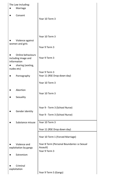| The Law including:<br>Marriage                                                             |                                                                          |  |
|--------------------------------------------------------------------------------------------|--------------------------------------------------------------------------|--|
| Consent                                                                                    | Year 10 Term 3                                                           |  |
| Violence against<br>women and girls                                                        | Year 10 Term 3<br>Year 9 Term 3                                          |  |
| Online behaviours<br>including image and<br>information<br>sharing (sexting,<br>nudes etc) | Year 9 Term 3                                                            |  |
| Pornography                                                                                | Year 9 Term 3<br>Year 11 (RSE Drop down day)                             |  |
|                                                                                            | Year 10 Term 3                                                           |  |
| Abortion<br>Sexuality                                                                      | Year 10 Term 3                                                           |  |
| Gender identity                                                                            | Year 9 - Term 3 (School Nurse)<br>Year 9 - Term 3 (School Nurse)         |  |
| Substance misuse                                                                           | Year 10 Term 3                                                           |  |
|                                                                                            | Year 11 (RSE Drop down day)                                              |  |
|                                                                                            | Year 10 Term 1 (Forced Marriage)                                         |  |
| Violence and<br>exploitation by gangs<br>Extremism                                         | Year 8 Term (Personal Boundaries i.e Sexual<br>Assault)<br>Year 9 Term 3 |  |
| Criminal<br>exploitation                                                                   | Year 9 Term 5 (Gangs)                                                    |  |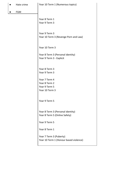|  | Hate crime |
|--|------------|
|  |            |

**FGM** 

## Year 10 Term 1 (Numerous topics)

Year 8 Term 1 Year 9 Term 3

Year 9 Term 3 Year 10 Term 3 (Revenge Porn and Law)

Year 10 Term 3

Year 8 Term 3 (Personal identity) Year 9 Term 3 - Explicit

Year 8 Term 3 Year 9 Term 3

Year 7 Term 4 Year 8 Term 2 Year 9 Term 5 Year 10 Term 3

Year 9 Term 5

Year 8 Term 3 (Personal identity) Year 8 Term 5 (Online Safety)

Year 9 Term 5

Year 8 Term 1

Year 7 Term 3 (Puberty) Year 10 Term 1 (Honour based violence)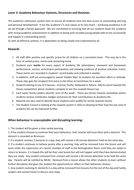# **Lever 3: Academy Behaviour Systems, Structures and Routines**

The academy's behaviour system aims to ensure all students have the best access to outstanding learning and personal development. It has the academy's 5 core values at its very heart – achieving excellence in all we do through a family approach. We are committed to ensuring that all our students leave the academy with strong academic achievements in addition to being well-rounded young people able to live successfully and happily in a demanding world.

As with all effective systems, it is dependent on being simple and understood by all.

## **Rewards**

- 1. All staff offer positive and specific praise for all children on a consistent basis. This may be in the form of verbal praise, merits and contacting home.
- 2. Students earn **merits** for every aspect of Academy life (attendance, classwork and homework performance, service, enrichment participation and showing evidence of positive character traits). These merits are recorded in students' record books and collected in weekly.
- 3. In addition, staff are encouraged to award 'Golden Slips' to students for excellent effort or attitude. These slips gain the recipient first entry to the Diner at lunchtimes for a week.
- 4. Students belong to one of 4 Houses Everest, Pacific, Redwood or Sahara. Merits count towards the House competition where students compete to win the coveted House Cup.
- 5. Each week Family Leaders identify 'stars of the week'. There are termly rewards assemblies where students receive certificates, badges and prizes for their contributions to Academy life.
- 6. Rewards are also used to identify those students who qualify for termly rewards events.
- 7. The Student Council is looking at the rewards system in 2022 to develop further how this key area of academy life can be improved further.

# **When behaviour is unacceptable and disrupting learning:**

1. The student will be given a clear verbal warning.

2. If the student chooses to continue their poor behaviour, their teacher will issue them with a demerit. This demerit is recorded on Bromcom.

3. If a student receives 2 demerits in a day, they will receive a 30 minute detention held on the same day.

4. If a student continues to behave poorly after a warning, they will be removed from the lesson and will work under the supervision of a senior member of staff in the Reintegration Room until they are ready to return to lessons. It is hoped this will be their next lesson but will not happen until they have demonstrated they are ready. Any student removed from a lesson will receive a 50 minute detention to be held the same day. Parents will be notified by MCAS. Removal from a lesson allows the other students to learn without further disruption and gives the student the opportunity to reflect on their behaviour choices.

5. Any student receiving 4+ demerits in a day will be removed from lessons for the rest of the day and Family Leaders will contact home to discuss next steps.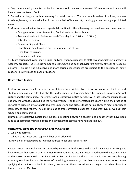6. Any student leaving their Record Book at home should receive an automatic 50 minute detention and will have a one-day Record Book.

7. Demerits can be given without warning for certain reasons. These include breaches of uniform, lateness to school/lessons, unruly behaviour in corridors, lack of homework, chewing gum and eating in prohibited areas.

8. More serious behaviour issues or repeated disruption to others' learning can result in other consequences:

- Being placed on report to mentor, Family Leader or Senior Leader.
- Academy Leadership Detention (each Thursday from 3.20pm 5.00pm).
- Saturday detention.
- Behaviour Support Plans.
- Education in an alternative provision for a period of time.
- Fixed term exclusion.
- Permanent exclusion.

11. More serious behaviour may include: bullying, truancy, rudeness to staff, swearing, fighting, damage to Academy property, racist/sexist/homophobic language, and poor behaviour off-site whilst wearing Academy uniform. This list is not exhaustive and more serious consequences are subject to the decision of Family Leaders, Faculty Heads and Senior Leaders.

# **Restorative Justice**

Restorative justice enables a wider view of Academy discipline. For restorative justice we think beyond students breaking our rules but also the wider impact of it causing harm to students, classroom/school culture and the community. Therefore, from a restorative justice perspective, a just response must address not only the wrongdoing, but also the harms involved. If all the interested parties are willing, the practice of restorative justice is a way to help students understand and discuss those harms. Through meetings student learn how to repair them. The aim is to lead to transformational changes in students' lives as well as their schools and communities.

Examples of restorative justice may include: a meeting between a student and a teacher they have been rude to or staff supervising a discussion between students who have had a falling out.

## *Restorative Justice asks the following set of questions:*

- 1. Who was harmed?
- 2. What are the needs and responsibilities of all affected?
- 3. How do all affected parties together address needs and repair harm?

Restorative Justice emphasises restoration by working with all parties in the conflict involved in working out how to repair that harm. It pays attention to community and victim's needs in addition to the accountability of the person who caused harm. By practising Restorative Justice there is a commitment to strengthening Academy relationships and the sense of rebuilding a sense of justice that can sometimes be lost when applying the traditional school disciplinary procedures. These procedures can neglect this when there is a haste to punish offenders.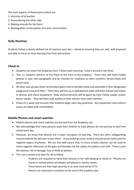The main aspects of Restorative Justice are:

- 1. Inclusion of all parties
- 2. Encountering the other side
- 3. Making amends for the harm
- 4. Reintegration of the parties into their communities

## **Daily Routines**

Students follow a clearly defined set of routines each day – aimed at ensuring they are safe, well prepared and able to focus on their learning free from distractions.

## **Check-In**

- Students can enter the Academy from 7.45am each morning. Food is served in the Diner.
- Year 11 students check-in at the Plaza at the front of the academy. There they will hand mobile phones in (see next paragraph) and be checked for readiness to learn (uniform, Record Book and pencil case).
- All other year groups enter via the black gates next to the bike sheds and assemble in their designated playground area at 8.20am. There they will line up in alphabetical order and their mentor will collect in phones and check equipment. Daily announcements will be given by their Family Leader and/or Senior Leader. They will then walk quietly to their mentor room with mentors.
- Check-In is quick and ensures that students begin each day positively. Any equipment and uniform issues are dealt with immediately.

## **Mobile Phones and smart watches**

- Mobile phones and smart watches are banned from the Academy site.
- We acknowledge that many parents want their children to have phones for the journey to and from school each day.
- However, we know that phones are a major disruption to learning. There are other safeguarding reasons behind the decision to ban them – many bullying issues revolve around social media and the negative aspect of phones. We are also well aware that, in many schools, phones can be used to invite negative influences to the gate and thereby risk the safety of students and staff. There is also the obvious risk of damage, loss or theft of phones.
- The rule is simple and clear for all to follow.
	- Students are required to hand their phones in for safe-keeping at check-in. Phones are stored in named plastic envelopes and placed in mentor boxes.
	- These boxes are then kept securely in an area covered by CCTV.
	- Phones are returned to students at the end of the academy day.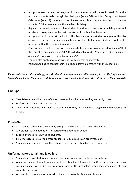- Any phone seen or heard at *any point* in the academy day will be confiscated. From the moment students walk through the black gate (Years 7-10) or Main Reception/Internet Café doors (Year 11) the rule applies. Please note this also applies to after-school clubs and after 3.10pm anywhere in the Academy building.
- Regular checks will be made. Any student found in possession of a mobile phone will receive a consequence on the first occasion and confiscation thereafter.
- Any phone confiscated will be kept by the Academy for a period of **four weeks**, thereby acting as a real deterrent and eliminating disruptions to learning. SIM cards will not be returned within the confiscation period.
- Confiscation is the Academy exercising its right to do so as circumscribed by Section 91 of the Education and Inspections Act 2006, which enables us to, *"confiscate, retain or dispose of a pupil's property as a disciplinary penalty"*
- The rule also applies to smart watches with internet connectivity.
- Parents needing to contact their child should leave a message with the receptionist.

# *Please note the Academy will not spend valuable learning time investigating any loss or theft of a phone. Students must store their device safely in school – any choosing to disobey the rule do so at their own risk.*

## **Line-ups**

- Year 7-10 students line up briefly after break and lunch to ensure they are ready to learn.
- Uniform and equipment are checked.
- Their teacher accompanies them to lessons where they are expected to begin work immediately on arrival.

## **Check-Out**

- All students gather with their Family Groups at the end of each day for check-out.
- Any student with a detention is escorted to the detention venue.
- Mobile phones are returned to students.
- Final messages are relayed before students are dismissed in an orderly fashion.
- Students in detention receive their phones once the detention has been completed.

## **Uniform, make-up, hair and jewellery**

- Students are expected to take pride in their appearance and the Academy uniform.
- A uniform ensures that all students can be identified as belonging to the Oasis family and is in many ways a cheaper way of dressing, removing some of the inequalities often seen when students can wear their own clothes.
- All parents receive a uniform list when their child joins the Academy. To recap: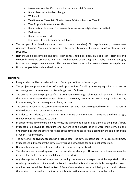- Please ensure all uniform is marked with your child's name.
- Black blazer with Academy badge.
- White shirt.
- Tie (Green for Years 7/8, Blue for Years 9/10 and Black for Year 11).
- Year 11 prefects wear a silver tie.
- Black polishable shoes. No trainers, boots or canvas style shoes permitted.
- Dark socks.
- Black trousers or skirt.
- Hairbands should be black or dark blue.
- The only permitted jewellery is a wristwatch (no smart watches). No rings, bracelets, chains or earrings are allowed. Students are permitted to wear a transparent piercing 'plug' in place of their jewellery.
- Hair should be presentable and safe. Hair bands should be black, blue or green. Hair dye and coloured streaks are prohibited. Hair must not be shaved below a 2 grade. Tracks, tramlines, designs, Mohawks and steps are not allowed. Please ensure that tracks or lines are not shaved into eyebrows.
- No make-up or false nails and nail varnish.

# **Horizons**

- Every student will be provided with an i-Pad as part of the Horizons project.
- The project supports the vision of equal opportunities for all by ensuring equality of access to technology and the resources and knowledge that it facilitates.
- The device remains the property of Oasis Community Learning at all times. All users must adhere to the rules around appropriate usage. Failure to do so may result in the device being confiscated or, in some cases, further consequences being imposed.
- The device remains in the care of the authorised user until they are required to return it. The return of the device can be requested at any time.
- In order to get a device, a student must sign a Home Use agreement. If they are unwilling to sign, the device will not be issued to them.
- In order for the device to be allowed home, the agreement must also be signed by the parent/carer.
- Students are allowed to configure and customise the device as if it were their own, on the understanding that the exterior surfaces of the device and case are maintained in the same condition as when issued to them.
- The device will be given to students in a rugged case. The device must be kept in this case at all times.
- Students should transport the device safely using a school bad for additional protection.
- Devices should never be left unattended in the Academy or elsewhere.
- The devices are insured against theft or accidental damage. However, parents/carers may be invoiced for the loss or intentional damage to any device.
- Any damage to or loss of equipment (including the case and charger) must be reported to the Academy immediately. A spare will be issued is any device is faulty, accidentally damaged or stolen.
- Any lost devices will be placed in 'Lost & Stolen' mode which prevents it being used. It also allows the location of the device to be tracked – this information may be passed on to the police.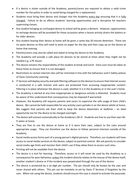- If a device is stolen outside of the Academy, parents/carers are required to obtain a valid crime number for the police in order to avoid being charged for a replacement.
- Students must bring their device and charger into the Academy every day ensuring that it is fully charged. Failure to do so affects students' learning opportunities and is disruptive for teachers supervising classes.
- Any student bringing an uncharged device to school will be given a demerit. However, opportunities to recharge devices will be provided for those occasions when a lesson activity drains the battery or for older devices.
- Any student leaving their device at home will be given a same-day 50 minute detention. There are no spare devices so they will need to work on paper for the day and then copy up on the device at home that evening.
- Parents/carers may also be called and asked to bring the device to the Academy.
- The Academy will provide a safe place for devices to be stored at times when they might not be needed e.g. a PE lesson.
- The device remains the responsibility of the student at break and lunch. Extra care must be taken at these times to ensure that it is not damaged.
- Restrictions to certain internet sites will be restricted in line with the behaviour and E-Safety polices of Oasis Community Learning.
- IT Services will deploy security and web filtering software to the devices to ensure that internet access is conducted in a safe manner and users are protected from accessing inappropriate content. Filtering is in place whenever the device is used, whether it is in the Academy or in the user's home.
- The Academy is alerted at any time inappropriate or dangerous activity is detected. Students must be aware of this understand that consequences may be imposed if warranted.
- However, the Academy still requires parents and carers to supervise the safe usage of their child's device. We cannot be held responsible for any activity users partake in on the device whilst at home. We suggest that parents ask their child to keep the device downstairs at bedtime – an ideal opportunity too for the device to be charged overnight.
- The device will connect automatically to the Academy's Wi-Fi. Students are free to use their own Wi-Fi when at home.
- They are free to use the device at home as if it were their own, subject to the rules around appropriate usage. They can therefore use the device to follow personal interests outside of the Academy.
- Social media access forms part of a young person's digital persona. Therefore, our students will have access to social media services on the device, subject to parental control. We ask parents to consider social media age limits and monitor their child's use if they allow them to access such sites.
- Printing will not be available from the device.
- The device is a tool for learning. Therefore, access to it will never be used by the Academy as a consequence for poor behaviour unless the incident directly relates to the misuse of the device itself, another student's device or if the incident was perpetrated through the use of the device.
- The device is protected by a six digit pin number. The pin should only be known by the user and never shared with others. This pin can be remotely re-set by Oasis IT Services if forgotten by the user. When not using the device, students should ensure the case is closed to activate the passcode.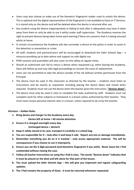- Users may also choose to make use of the biometric fingerprint reader used to unlock the device. This is optional and the digital representation of the fingerprint is not available to Oasis or IT Services. It is stored only on the device and will be deleted when the device is returned after use.
- Any student using the device inappropriately or failing to look after it adequately may have it taken away from them or only be able to use it whilst under staff supervision. The Academy reserves the right to prevent devices being taken home each evening if there are concerns that it is being misused whilst at home.
- In certain circumstances the Academy will also surrender a device to the police in order to assist in the detection or prevention or crime.
- All staff, students and parents/carers will be encouraged to download the Safer Schools App a resource providing up to date advice and support on safe digital use.
- PSHE sessions and assemblies will also cover on-line safety at regular times.
- Should an authorised user fail to return a device when requested e.g. when leaving the Academy, Oasis will follow up and may take legal proceedings to recover the costs of replacement.
- Users are not permitted to take the device outside of the UK without written permission from the Principal.
- The device must be used in the classroom as directed by the teacher students must listen to instructions and do exactly as requested, including placing the device down and closed when required. Students must not use the device when the teacher gives the instruction, **"devices down".**
- The device must only be used in class to complete the tasks outlined by staff. Students must not complete work for other subjects or homework in a lesson unless authorised by their teacher. They must never access personal interest sites in a lesson, unless required to do so by the teacher.

#### **Horizons – Golden Rules**

- **1. Bring device and charger to the Academy every day.**
	- **Device left at home = 60 minute detention**
- **2. Ensure it is charged overnight every day.**
	- **Uncharged device = demerit**
- **3. Keep it safely stored in its case; transport it carefully in a school bag.**
- **4. You are responsible for it – look after it and keep it safe. Report any loss or damage immediately.**
- **5. Remember everything you do on it is tracked – only access appropriate material. The will be consequences if you choose to use it improperly.**
- **6. Ensure you set the 6 digit password (and biometric fingerprint if you wish). Never leave the i-Pad unattended without closing the case.**
- **7. Follow all teacher instructions on using the i-Pad in class. The words "devices down" indicates that it must be placed on the desk and left alone for that part of the lesson.**
- **8. You must upload the Safer Schools App – this will give you important and regular safeguarding updates.**
- **9. The i-Pad remains the property of Oasis. It must be returned whenever requested.**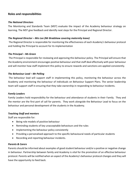# **Roles and responsibilities**

#### *The National Directors*

The Monitoring and Standards Team (MST) evaluate the impact of the Academy behaviour strategy on learning. The MST give feedback and identify next steps for the Principal and Regional Director.

#### *The Regional Director – Mrs Lee (Mr Bradshaw covering maternity leave)*

The Regional Director is responsible for monitoring the effectiveness of each Academy's behaviour protocol and holding the Principal to account for its implementation

#### *The Principal – Ms Green*

The Principal is responsible for reviewing and approving this behaviour policy. The Principal will ensure that the Academy environment encourages positive behaviour and that staff deal effectively with poor behaviour and will monitor how staff implement this policy to ensure rewards and sanctions are applied consistently.

#### *The Behaviour Lead – Mr Pelling*

The behaviour lead will support staff in implementing this policy, monitoring the behaviour across the Academy and monitoring the behaviour of individuals on Behaviour Support Plans. The senior leadership team will support staff in ensuring that they take ownership in responding to behaviour incidents.

#### *Family Leaders*

Family Leaders hold responsibility for the behaviour and attendance of students in their Family. They and the mentor are the first port of call for parents. They work alongside the Behaviour Lead to focus on the behaviour and personal development of the students in the Academy.

#### *Teaching Staff and mentors*

Staff are responsible for:

- Being role models of positive behaviour
- Reminding students of key unacceptable behaviours and the rules
- Implementing the behaviour policy consistently
- Providing a personalised approach to the specific behavioural needs of particular students
- Recording and reporting behaviour incidents.

#### *Parents & Carers*

Parents should be informed about examples of good student behaviour and/or a positive or negative change in behaviour. Partnership between family and Academy is vital for the promotion of an effective behaviour protocol. Parents will be notified when an aspect of the Academy's behaviour protocol changes and they will have the opportunity to feed back.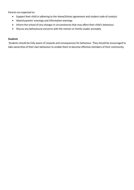Parents are expected to:

- Support their child in adhering to the Home/School agreement and student code of conduct
- Attend parents' evenings and information evenings
- Inform the school of any changes in circumstances that may affect their child's behaviour
- Discuss any behavioural concerns with the mentor or Family Leader promptly

#### *Students*

Students should be fully aware of rewards and consequences for behaviour. They should be encouraged to take ownership of their own behaviour to enable them to become effective members of their community.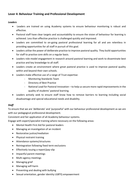# **Lever 4: Behaviour Training and Professional Development**

#### *Leaders*

- Leaders are trained on using Academy systems to ensure behaviour monitoring is robust and effective.
- Pastoral staff have clear targets and accountability to ensure the vision of behaviour for learning is achieved. Less than effective practice is challenged quickly and improved.
- Leaders are committed to on-going pastoral professional learning for all and are relentless in providing opportunities for all staff in pursuit of this goal.
- Leaders utilise the power of deliberate practice to improve pastoral quality. They build opportunities for staff to practise core skills on a regular basis.
- Leaders role-model engagement in research around pastoral learning and work to disseminate best practice and key knowledge to all staff.
- Leaders create an environment where great pastoral practice is used to improve pastoral quality within and beyond their own schools.
- Leaders make effective use of a range of Trust expertise:
	- Monitoring Standards Team
	- Directory of Best Practice
	- National Lead for Pastoral Innovation to help us secure more rapid improvements in the quality of students' pastoral learning.
- Leaders actively seek to ensure staff know how to remove barriers to learning including social disadvantage and special educational needs and disability.

## *Staff*

To ensure that we are 'deliberate' and 'purposeful' with our behaviour professional development as we are with our pedagogical professional development.

Consistent and fair application of all Academy behaviour systems.

Engage with expert/specialist training where necessary on the following areas:

- Mental Health First Aid for pastoral leaders
- Managing an investigation of an incident
- Restorative justice/mediation
- Physical restraint training
- Attendance systems/structures
- Reintegration following fixed term exclusions
- Effectively issuing a report/pay-slip
- Impactful parent meetings
- Multi-agency meetings
- Managing grief
- Managing self-harm
- Preventing and dealing with bullying
- Sexual orientation, gender identity LGBTQ empowerment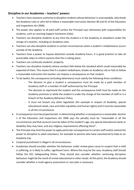# **Discipline in our Academies – teachers' powers**

- Teachers have statutory authority to discipline students whose behaviour is unacceptable, who break the Academy rules or who fail to follow a reasonable instruction (Section 90 and 91 of the Education and Inspections Act 2006).
- The power also applies to all paid staff (unless the Principal says otherwise) with responsibility for students, such as Learning Support Assistants (LSAs).
- Teachers can discipline students at any time the student is in the Academy or elsewhere under the charge of a teacher, including on Academy visits.
- Teachers can also discipline students in certain circumstances when a student's misbehaviour occurs outside of the Academy.
- Teachers have a power to impose detention outside Academy hours. It is good practice to take all practicable steps to inform parents that this is taking place.
- Teachers can confiscate students' property.
- Teachers can discipline students whose conduct falls below the standard which could reasonably be expected of them. This means that if a student misbehaves, breaks an Academy rule or fails to follow a reasonable instruction the teacher can impose a consequence on that student.
- To be lawful, the consequence (including detentions) must satisfy the following three conditions:
	- The decision to give a student a consequence must be made by a paid member of Academy staff or a member of staff authorised by the Principal.
	- The decision to reprimand the student and the consequence itself must be made on the Academy premises or while the student is under the charge of the member of staff or is a breach of the Academy Behaviour Policy.
	- It must not breach any other legislation (for example in respect of disability, special educational needs, race and other equalities and human rights) and it must be reasonable in all the circumstances.
- A consequence must be proportionate. In determining whether a consequence is reasonable, Section 1 of the Education and Inspections Act 2006 says the penalty must be "reasonable in all the circumstances and that account must be taken of the student's age, any special educational needs or disability they may have, and any religious requirements affecting them".
- The Principal may limit the power to apply particular consequences to certain staff and/or extend the power to discipline to adult volunteers, for example to parents who have volunteered to help on an Academy trip.
- Corporal punishment is illegal in all circumstances.
- Academies should consider whether the behaviour under review gives cause to suspect that a child is suffering, or is likely to suffer, significant harm. Where this may be the case, Academy staff should follow the OCL Safeguarding Policy. They should also consider whether continuing disruptive behaviour might be the result of unmet educational or other needs. At this point, the Academy should consider whether a multi-agency assessment or care plan is necessary.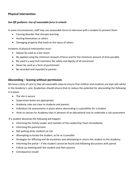# **Physical intervention**

#### *See DfE guidance: Use of reasonable force in schools*

In some circumstances, staff may use reasonable force to intervene with a student to prevent them:

- Causing disorder that disrupts learning
- Hurting themselves or others
- Damaging property that leads to the injury of others

Incidents of physical intervention must:

- Always be used as a last resort
- Be applied using the minimum amount of force and for the minimum amount of time possible
- Be used in a way that maintains the safety and dignity of all concerned
- Never be used as a form of punishment
- Be recorded and reported to parents

## **Absconding – leaving without permission**

We have a duty of care to take all reasonable steps to ensure that children and students are kept safe whilst in the Academy's care. Academies should ensure that to reduce the potential for absconding the following is in place:

- The site is secure
- Supervision levels are appropriate
- Academy rules are clear to students and parents
- Individual risk assessments in place where absconding is a possibility for a student
- Visits to venues for Academy trips in advance of an educational visit to undertake a risk assessment

If a student absconds the following will happen:

- Informing the Family Leader and member of the Leadership Team immediately
- Informing the parent/carer
- Not putting other students at risk
- Attempting to locate the student, as far as is possible
- Strategies for diffusing and de-escalation and attempting to return the student to the Academy
- Informing the police if the student cannot be found and following discussions with parent
- Follow up meeting with the student and their parents
- Consequence issued